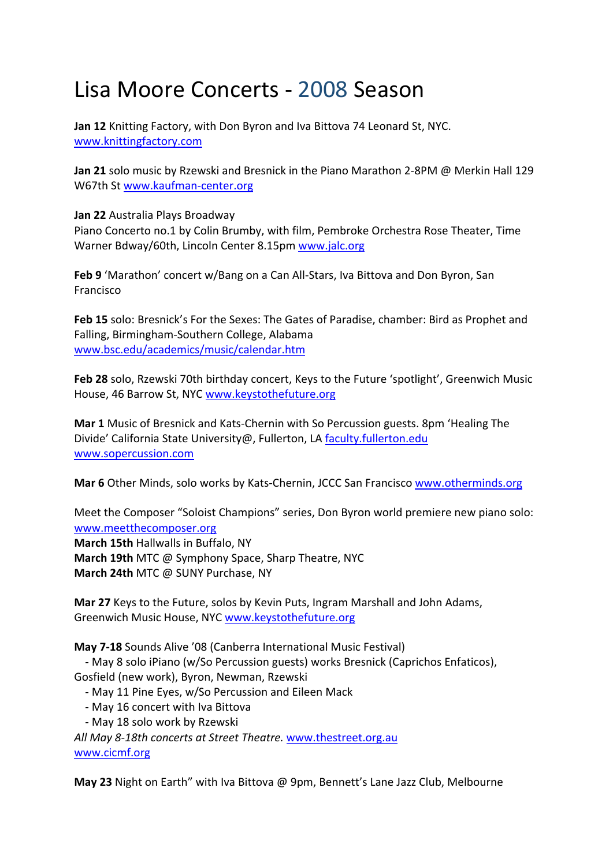## Lisa Moore Concerts ‐ 2008 Season

**Jan 12** Knitting Factory, with Don Byron and Iva Bittova 74 Leonard St, NYC. www.knittingfactory.com

**Jan 21** solo music by Rzewski and Bresnick in the Piano Marathon 2‐8PM @ Merkin Hall 129 W67th St www.kaufman‐center.org

**Jan 22** Australia Plays Broadway

Piano Concerto no.1 by Colin Brumby, with film, Pembroke Orchestra Rose Theater, Time Warner Bdway/60th, Lincoln Center 8.15pm www.jalc.org

**Feb 9** 'Marathon' concert w/Bang on a Can All‐Stars, Iva Bittova and Don Byron, San **Francisco** 

**Feb 15** solo: Bresnick's For the Sexes: The Gates of Paradise, chamber: Bird as Prophet and Falling, Birmingham‐Southern College, Alabama www.bsc.edu/academics/music/calendar.htm

**Feb 28** solo, Rzewski 70th birthday concert, Keys to the Future 'spotlight', Greenwich Music House, 46 Barrow St, NYC www.keystothefuture.org

**Mar 1** Music of Bresnick and Kats‐Chernin with So Percussion guests. 8pm 'Healing The Divide' California State University@, Fullerton, LA faculty.fullerton.edu www.sopercussion.com

**Mar 6** Other Minds, solo works by Kats‐Chernin, JCCC San Francisco www.otherminds.org

Meet the Composer "Soloist Champions" series, Don Byron world premiere new piano solo: www.meetthecomposer.org **March 15th** Hallwalls in Buffalo, NY **March 19th** MTC @ Symphony Space, Sharp Theatre, NYC **March 24th** MTC @ SUNY Purchase, NY

**Mar 27** Keys to the Future, solos by Kevin Puts, Ingram Marshall and John Adams, Greenwich Music House, NYC www.keystothefuture.org

**May 7‐18** Sounds Alive '08 (Canberra International Music Festival)

 ‐ May 8 solo iPiano (w/So Percussion guests) works Bresnick (Caprichos Enfaticos), Gosfield (new work), Byron, Newman, Rzewski

- ‐ May 11 Pine Eyes, w/So Percussion and Eileen Mack
- ‐ May 16 concert with Iva Bittova
- ‐ May 18 solo work by Rzewski

*All May 8‐18th concerts at Street Theatre.* www.thestreet.org.au www.cicmf.org

**May 23** Night on Earth" with Iva Bittova @ 9pm, Bennett's Lane Jazz Club, Melbourne